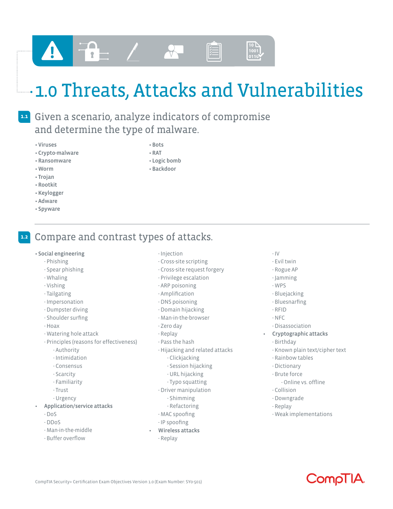# $-$  1.0 Threats, Attacks and Vulnerabilities

## Given a scenario, analyze indicators of compromise **1.1** and determine the type of malware.

- Viruses
- Crypto-malware
- Ransomware
- Worm
- Trojan
- Rootkit
- Keylogger
- Adware
- Spyware

### • Bots • RAT

- Logic bomb
- Backdoor

Compare and contrast types of attacks. **1.2**

 $\overline{r}$  –

- Social engineering
	- Phishing
	- Spear phishing
	- Whaling
	- Vishing
	- Tailgating
	- Impersonation
	- Dumpster diving
	- Shoulder surfing
	- Hoax
	- Watering hole attack
	- Principles (reasons for effectiveness)
		- Authority
		- Intimidation
		- Consensus
		- Scarcity
		- Familiarity
		- Trust
		- Urgency
- Application/service attacks
	- DoS
	- DDoS
	- Man-in-the-middle
	- Buffer overflow
- Injection
- Cross-site scripting
- Cross-site request forgery
- Privilege escalation
- ARP poisoning
- Amplification
- DNS poisoning
- Domain hijacking
- Man-in-the-browser
- Zero day
- Replay
- Pass the hash
- Hijacking and related attacks
	- Clickjacking
	- Session hijacking
	- URL hijacking
	- Typo squatting
- Driver manipulation
	- Shimming
- Refactoring
- MAC spoofing
- IP spoofing
- Wireless attacks - Replay

#### - IV

 $\begin{pmatrix} 10 \\ 100 \\ 0110 \end{pmatrix}$ 

- Evil twin
- Rogue AP
- Jamming
- WPS
- Bluejacking
- Bluesnarfing
- RFID
- NFC
- Disassociation
- Cryptographic attacks
	- Birthday
	- Known plain text/cipher text
	- Rainbow tables
	- Dictionary
	- Brute force
		- Online vs. offline
	- Collision
	- Downgrade
	- Replay
	- Weak implementations